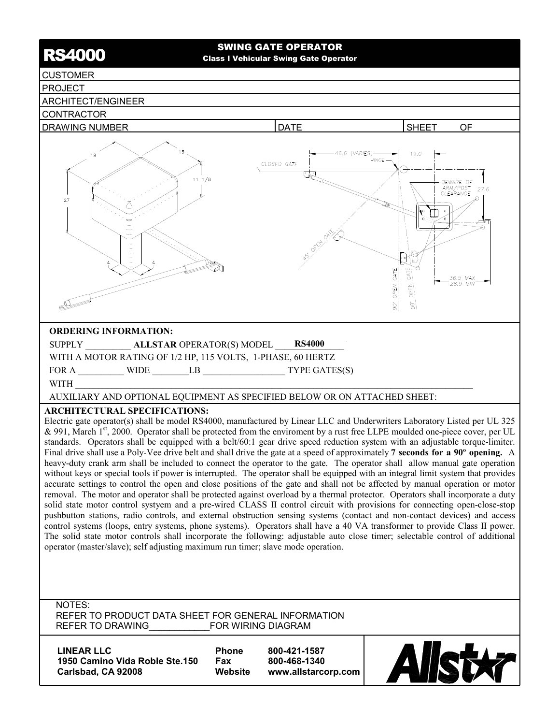# SWING GATE OPERATOR<br>Class I Vehicular Swing Gate Operator

# CUSTOMER

# PROJECT

# ARCHITECT/ENGINEER





AUXILIARY AND OPTIONAL EQUIPMENT AS SPECIFIED BELOW OR ON ATTACHED SHEET:

# **ARCHITECTURAL SPECIFICATIONS:**

Electric gate operator(s) shall be model RS4000, manufactured by Linear LLC and Underwriters Laboratory Listed per UL 325 & 991, March  $1<sup>st</sup>$ , 2000. Operator shall be protected from the enviroment by a rust free LLPE moulded one-piece cover, per UL standards. Operators shall be equipped with a belt/60:1 gear drive speed reduction system with an adjustable torque-limiter. Final drive shall use a Poly-Vee drive belt and shall drive the gate at a speed of approximately **7 seconds for a 90º opening.** A heavy-duty crank arm shall be included to connect the operator to the gate. The operator shall allow manual gate operation without keys or special tools if power is interrupted. The operator shall be equipped with an integral limit system that provides accurate settings to control the open and close positions of the gate and shall not be affected by manual operation or motor removal. The motor and operator shall be protected against overload by a thermal protector. Operators shall incorporate a duty solid state motor control systyem and a pre-wired CLASS II control circuit with provisions for connecting open-close-stop pushbutton stations, radio controls, and external obstruction sensing systems (contact and non-contact devices) and access control systems (loops, entry systems, phone systems). Operators shall have a 40 VA transformer to provide Class II power. The solid state motor controls shall incorporate the following: adjustable auto close timer; selectable control of additional operator (master/slave); self adjusting maximum run timer; slave mode operation.

#### NOTES: REFER TO PRODUCT DATA SHEET FOR GENERAL INFORMATION REFER TO DRAWING FOR WIRING DIAGRAM

| <b>LINEAR LLC</b>              | <b>Phone</b> | 800-421-1587        |
|--------------------------------|--------------|---------------------|
| 1950 Camino Vida Roble Ste.150 | Fax          | 800-468-1340        |
| Carlsbad, CA 92008             | Website      | www.allstarcorp.com |